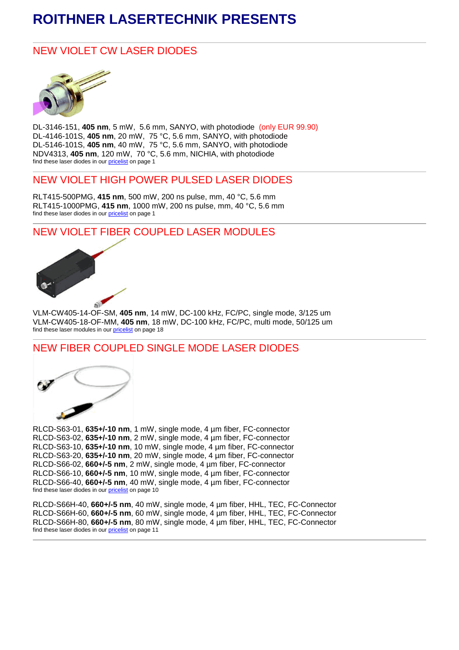# **ROITHNER LASERTECHNIK PRESENTS**

## NEW VIOLET CW LASER DIODES



DL-3146-151, **405 nm**, 5 mW, 5.6 mm, SANYO, with photodiode (only EUR 99.90) DL-4146-101S, **405 nm**, 20 mW, 75 °C, 5.6 mm, SANYO, with photodiode DL-5146-101S, **405 nm**, 40 mW, 75 °C, 5.6 mm, SANYO, with photodiode NDV4313, **405 nm**, 120 mW, 70 °C, 5.6 mm, NICHIA, with photodiode find these laser diodes in ou[r pricelist](http://www.roithner-laser.at/All_Datasheets/Pricelists/roithner-pricelist-c-090421.pdf) on page 1

## NEW VIOLET HIGH POWER PULSED LASER DIODES

RLT415-500PMG, **415 nm**, 500 mW, 200 ns pulse, mm, 40 °C, 5.6 mm RLT415-1000PMG, **415 nm**, 1000 mW, 200 ns pulse, mm, 40 °C, 5.6 mm find these laser diodes in ou[r pricelist](http://www.roithner-laser.at/All_Datasheets/Pricelists/roithner-pricelist-c-090421.pdf) on page 1

# NEW VIOLET FIBER COUPLED LASER MODULES



VLM-CW405-14-OF-SM, **405 nm**, 14 mW, DC-100 kHz, FC/PC, single mode, 3/125 um VLM-CW405-18-OF-MM, **405 nm**, 18 mW, DC-100 kHz, FC/PC, multi mode, 50/125 um find these laser modules in our [pricelist](http://www.roithner-laser.at/All_Datasheets/Pricelists/roithner-pricelist-c-090421.pdf) on page 18

#### NEW FIBER COUPLED SINGLE MODE LASER DIODES



RLCD-S63-01, **635+/-10 nm**, 1 mW, single mode, 4 µm fiber, FC-connector RLCD-S63-02, **635+/-10 nm**, 2 mW, single mode, 4 µm fiber, FC-connector RLCD-S63-10, **635+/-10 nm**, 10 mW, single mode, 4 µm fiber, FC-connector RLCD-S63-20, **635+/-10 nm**, 20 mW, single mode, 4 µm fiber, FC-connector RLCD-S66-02, **660+/-5 nm**, 2 mW, single mode, 4 µm fiber, FC-connector RLCD-S66-10, **660+/-5 nm**, 10 mW, single mode, 4 µm fiber, FC-connector RLCD-S66-40, **660+/-5 nm**, 40 mW, single mode, 4 µm fiber, FC-connector find these laser diodes in our **pricelist** on page 10

RLCD-S66H-40, **660+/-5 nm**, 40 mW, single mode, 4 µm fiber, HHL, TEC, FC-Connector RLCD-S66H-60, **660+/-5 nm**, 60 mW, single mode, 4 µm fiber, HHL, TEC, FC-Connector RLCD-S66H-80, **660+/-5 nm**, 80 mW, single mode, 4 µm fiber, HHL, TEC, FC-Connector find these laser diodes in ou[r pricelist](http://www.roithner-laser.at/All_Datasheets/Pricelists/roithner-pricelist-c-090421.pdf) on page 11